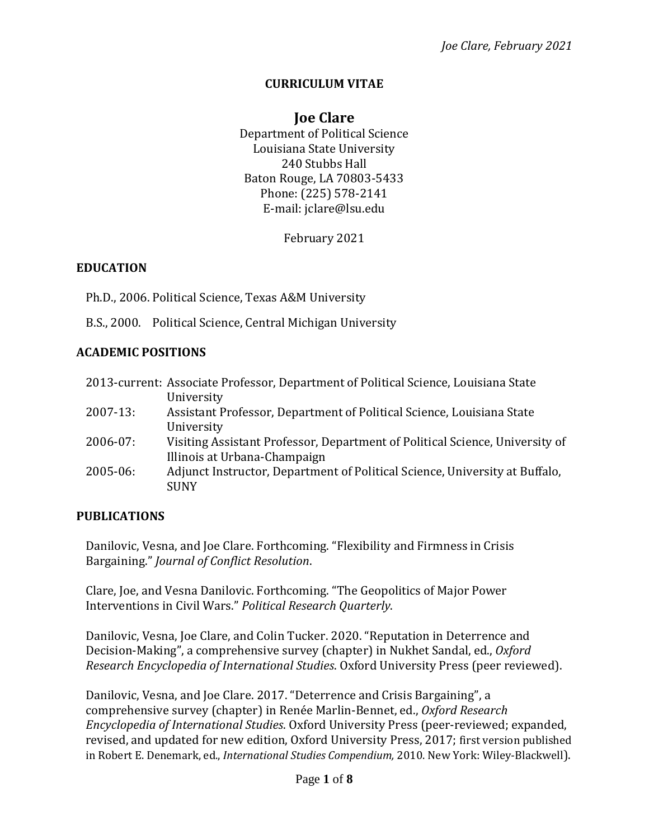#### **CURRICULUM VITAE**

# **Joe Clare**

Department of Political Science Louisiana State University 240 Stubbs Hall Baton Rouge, LA 70803-5433 Phone: (225) 578-2141 E-mail: jclare@lsu.edu

February 2021

#### **EDUCATION**

Ph.D., 2006. Political Science, Texas A&M University

B.S., 2000. Political Science, Central Michigan University

#### **ACADEMIC POSITIONS**

|               | 2013-current: Associate Professor, Department of Political Science, Louisiana State |
|---------------|-------------------------------------------------------------------------------------|
|               | University                                                                          |
| $2007 - 13:$  | Assistant Professor, Department of Political Science, Louisiana State               |
|               | University                                                                          |
| $2006 - 07$ : | Visiting Assistant Professor, Department of Political Science, University of        |
|               | Illinois at Urbana-Champaign                                                        |
| $2005 - 06$ : | Adjunct Instructor, Department of Political Science, University at Buffalo,         |
|               | <b>SUNY</b>                                                                         |

#### **PUBLICATIONS**

Danilovic, Vesna, and Joe Clare. Forthcoming. "Flexibility and Firmness in Crisis Bargaining." *Journal of Conflict Resolution*.

Clare, Joe, and Vesna Danilovic. Forthcoming. "The Geopolitics of Major Power Interventions in Civil Wars." *Political Research Quarterly*.

Danilovic, Vesna, Joe Clare, and Colin Tucker. 2020. "Reputation in Deterrence and Decision-Making", a comprehensive survey (chapter) in Nukhet Sandal, ed., *Oxford Research Encyclopedia of International Studies*. Oxford University Press (peer reviewed).

Danilovic, Vesna, and Joe Clare. 2017. "Deterrence and Crisis Bargaining", a comprehensive survey (chapter) in Renée Marlin-Bennet, ed., *Oxford Research Encyclopedia of International Studies*. Oxford University Press (peer-reviewed; expanded, revised, and updated for new edition, Oxford University Press, 2017; first version published in Robert E. Denemark, ed., *International Studies Compendium,* 2010. New York: Wiley-Blackwell).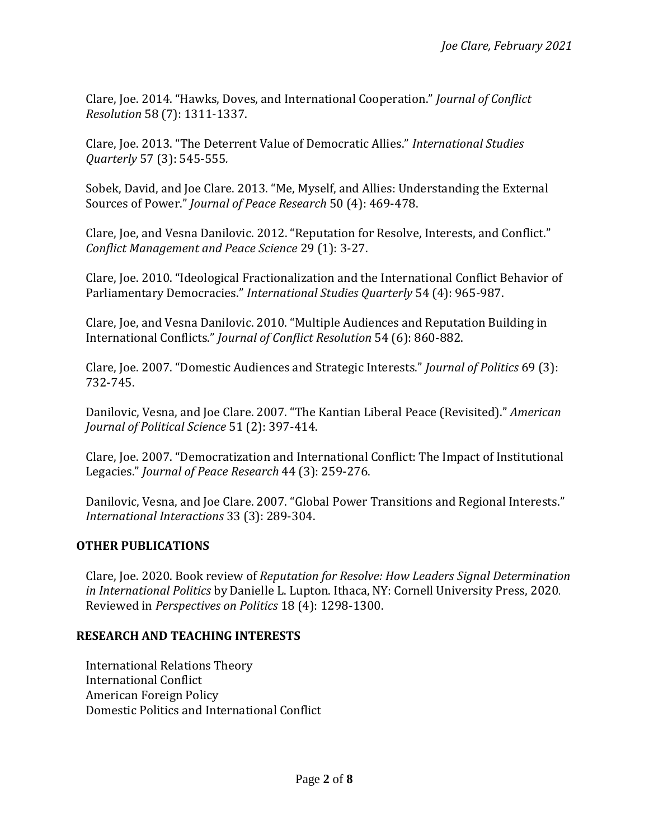Clare, Joe. 2014. "Hawks, Doves, and International Cooperation." *Journal of Conflict Resolution* 58 (7): 1311-1337.

Clare, Joe. 2013. "The Deterrent Value of Democratic Allies." *International Studies Quarterly* 57 (3): 545-555*.*

Sobek, David, and Joe Clare. 2013. "Me, Myself, and Allies: Understanding the External Sources of Power." *Journal of Peace Research* 50 (4): 469-478.

Clare, Joe, and Vesna Danilovic. 2012. "Reputation for Resolve, Interests, and Conflict." *Conflict Management and Peace Science* 29 (1): 3-27.

Clare, Joe. 2010. "Ideological Fractionalization and the International Conflict Behavior of Parliamentary Democracies." *International Studies Quarterly* 54 (4): 965-987.

Clare, Joe, and Vesna Danilovic. 2010. "Multiple Audiences and Reputation Building in International Conflicts." *Journal of Conflict Resolution* 54 (6): 860-882.

Clare, Joe. 2007. "Domestic Audiences and Strategic Interests." *Journal of Politics* 69 (3): 732-745.

Danilovic, Vesna, and Joe Clare. 2007. "The Kantian Liberal Peace (Revisited)." *American Journal of Political Science* 51 (2): 397-414.

Clare, Joe. 2007. "Democratization and International Conflict: The Impact of Institutional Legacies." *Journal of Peace Research* 44 (3): 259-276.

Danilovic, Vesna, and Joe Clare. 2007. "Global Power Transitions and Regional Interests." *International Interactions* 33 (3): 289-304.

### **OTHER PUBLICATIONS**

Clare, Joe. 2020. Book review of *Reputation for Resolve: How Leaders Signal Determination in International Politics* by Danielle L. Lupton. Ithaca, NY: Cornell University Press, 2020. Reviewed in *Perspectives on Politics* 18 (4): 1298-1300.

#### **RESEARCH AND TEACHING INTERESTS**

International Relations Theory International Conflict American Foreign Policy Domestic Politics and International Conflict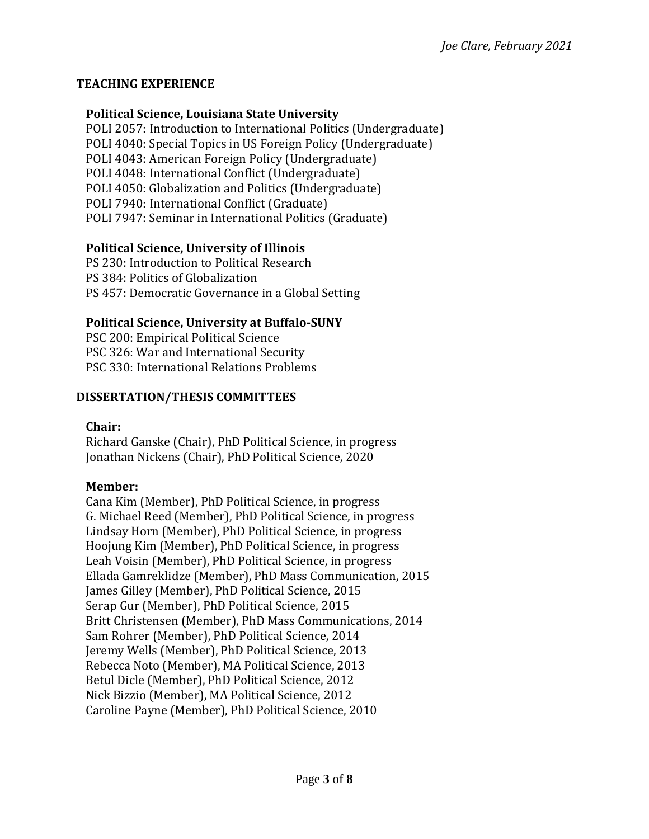## **TEACHING EXPERIENCE**

### **Political Science, Louisiana State University**

POLI 2057: Introduction to International Politics (Undergraduate) POLI 4040: Special Topics in US Foreign Policy (Undergraduate) POLI 4043: American Foreign Policy (Undergraduate) POLI 4048: International Conflict (Undergraduate) POLI 4050: Globalization and Politics (Undergraduate) POLI 7940: International Conflict (Graduate) POLI 7947: Seminar in International Politics (Graduate)

### **Political Science, University of Illinois**

PS 230: Introduction to Political Research PS 384: Politics of Globalization PS 457: Democratic Governance in a Global Setting

## **Political Science, University at Buffalo-SUNY**

PSC 200: Empirical Political Science PSC 326: War and International Security PSC 330: International Relations Problems

### **DISSERTATION/THESIS COMMITTEES**

### **Chair:**

Richard Ganske (Chair), PhD Political Science, in progress Jonathan Nickens (Chair), PhD Political Science, 2020

### **Member:**

Cana Kim (Member), PhD Political Science, in progress G. Michael Reed (Member), PhD Political Science, in progress Lindsay Horn (Member), PhD Political Science, in progress Hoojung Kim (Member), PhD Political Science, in progress Leah Voisin (Member), PhD Political Science, in progress Ellada Gamreklidze (Member), PhD Mass Communication, 2015 James Gilley (Member), PhD Political Science, 2015 Serap Gur (Member), PhD Political Science, 2015 Britt Christensen (Member), PhD Mass Communications, 2014 Sam Rohrer (Member), PhD Political Science, 2014 Jeremy Wells (Member), PhD Political Science, 2013 Rebecca Noto (Member), MA Political Science, 2013 Betul Dicle (Member), PhD Political Science, 2012 Nick Bizzio (Member), MA Political Science, 2012 Caroline Payne (Member), PhD Political Science, 2010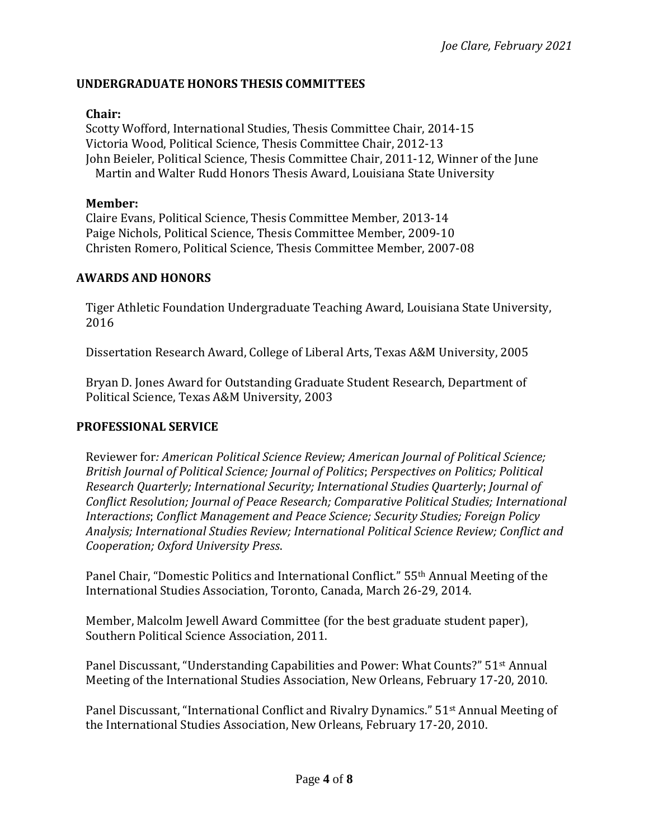### **UNDERGRADUATE HONORS THESIS COMMITTEES**

#### **Chair:**

Scotty Wofford, International Studies, Thesis Committee Chair, 2014-15 Victoria Wood, Political Science, Thesis Committee Chair, 2012-13 John Beieler, Political Science, Thesis Committee Chair, 2011-12, Winner of the June Martin and Walter Rudd Honors Thesis Award, Louisiana State University

#### **Member:**

Claire Evans, Political Science, Thesis Committee Member, 2013-14 Paige Nichols, Political Science, Thesis Committee Member, 2009-10 Christen Romero, Political Science, Thesis Committee Member, 2007-08

#### **AWARDS AND HONORS**

Tiger Athletic Foundation Undergraduate Teaching Award, Louisiana State University, 2016

Dissertation Research Award, College of Liberal Arts, Texas A&M University, 2005

Bryan D. Jones Award for Outstanding Graduate Student Research, Department of Political Science, Texas A&M University, 2003

#### **PROFESSIONAL SERVICE**

Reviewer for*: American Political Science Review; American Journal of Political Science; British Journal of Political Science; Journal of Politics*; *Perspectives on Politics; Political Research Quarterly; International Security; International Studies Quarterly*; *Journal of Conflict Resolution; Journal of Peace Research; Comparative Political Studies; International Interactions*; *Conflict Management and Peace Science; Security Studies; Foreign Policy Analysis; International Studies Review; International Political Science Review; Conflict and Cooperation; Oxford University Press*.

Panel Chair, "Domestic Politics and International Conflict." 55th Annual Meeting of the International Studies Association, Toronto, Canada, March 26-29, 2014.

Member, Malcolm Jewell Award Committee (for the best graduate student paper), Southern Political Science Association, 2011.

Panel Discussant, "Understanding Capabilities and Power: What Counts?" 51st Annual Meeting of the International Studies Association, New Orleans, February 17-20, 2010.

Panel Discussant, "International Conflict and Rivalry Dynamics." 51st Annual Meeting of the International Studies Association, New Orleans, February 17-20, 2010.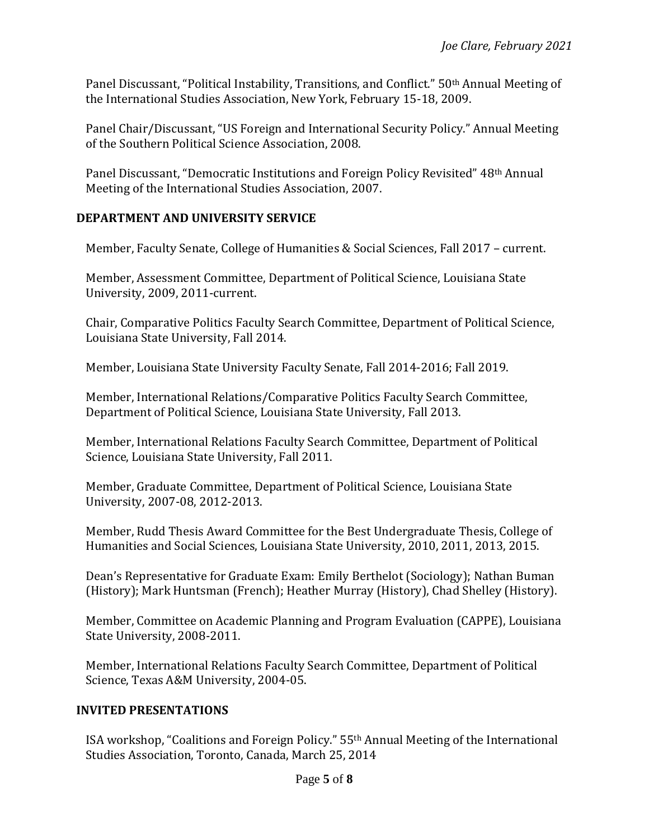Panel Discussant, "Political Instability, Transitions, and Conflict." 50<sup>th</sup> Annual Meeting of the International Studies Association, New York, February 15-18, 2009.

Panel Chair/Discussant, "US Foreign and International Security Policy." Annual Meeting of the Southern Political Science Association, 2008.

Panel Discussant, "Democratic Institutions and Foreign Policy Revisited" 48<sup>th</sup> Annual Meeting of the International Studies Association, 2007.

## **DEPARTMENT AND UNIVERSITY SERVICE**

Member, Faculty Senate, College of Humanities & Social Sciences, Fall 2017 – current.

Member, Assessment Committee, Department of Political Science, Louisiana State University, 2009, 2011-current.

Chair, Comparative Politics Faculty Search Committee, Department of Political Science, Louisiana State University, Fall 2014.

Member, Louisiana State University Faculty Senate, Fall 2014-2016; Fall 2019.

Member, International Relations/Comparative Politics Faculty Search Committee, Department of Political Science, Louisiana State University, Fall 2013.

Member, International Relations Faculty Search Committee, Department of Political Science, Louisiana State University, Fall 2011.

Member, Graduate Committee, Department of Political Science, Louisiana State University, 2007-08, 2012-2013.

Member, Rudd Thesis Award Committee for the Best Undergraduate Thesis, College of Humanities and Social Sciences, Louisiana State University, 2010, 2011, 2013, 2015.

Dean's Representative for Graduate Exam: Emily Berthelot (Sociology); Nathan Buman (History); Mark Huntsman (French); Heather Murray (History), Chad Shelley (History).

Member, Committee on Academic Planning and Program Evaluation (CAPPE), Louisiana State University, 2008-2011.

Member, International Relations Faculty Search Committee, Department of Political Science, Texas A&M University, 2004-05.

# **INVITED PRESENTATIONS**

ISA workshop, "Coalitions and Foreign Policy." 55th Annual Meeting of the International Studies Association, Toronto, Canada, March 25, 2014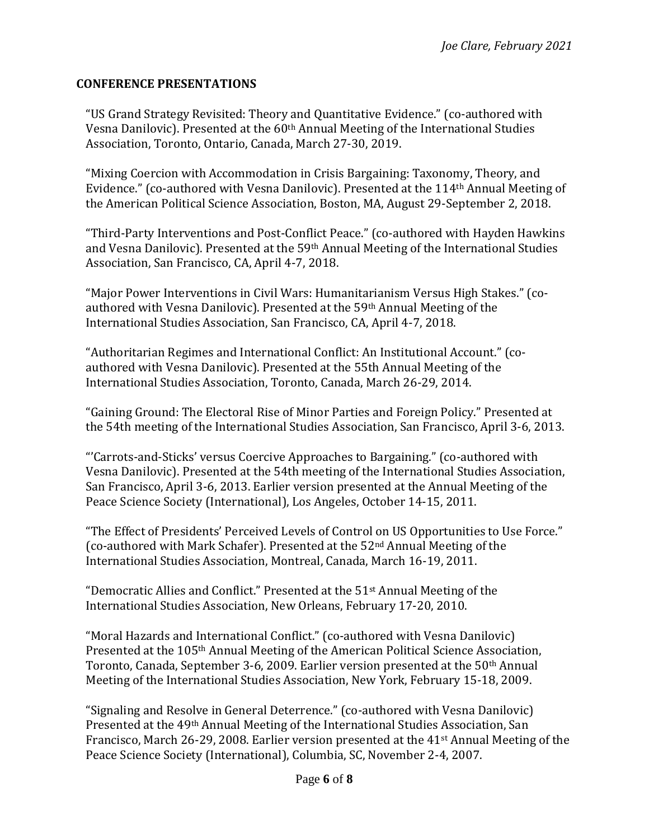### **CONFERENCE PRESENTATIONS**

"US Grand Strategy Revisited: Theory and Quantitative Evidence." (co-authored with Vesna Danilovic). Presented at the 60<sup>th</sup> Annual Meeting of the International Studies Association, Toronto, Ontario, Canada, March 27-30, 2019.

"Mixing Coercion with Accommodation in Crisis Bargaining: Taxonomy, Theory, and Evidence." (co-authored with Vesna Danilovic). Presented at the 114th Annual Meeting of the American Political Science Association, Boston, MA, August 29-September 2, 2018.

"Third-Party Interventions and Post-Conflict Peace." (co-authored with Hayden Hawkins and Vesna Danilovic). Presented at the 59th Annual Meeting of the International Studies Association, San Francisco, CA, April 4-7, 2018.

"Major Power Interventions in Civil Wars: Humanitarianism Versus High Stakes." (coauthored with Vesna Danilovic). Presented at the 59th Annual Meeting of the International Studies Association, San Francisco, CA, April 4-7, 2018.

"Authoritarian Regimes and International Conflict: An Institutional Account." (coauthored with Vesna Danilovic). Presented at the 55th Annual Meeting of the International Studies Association, Toronto, Canada, March 26-29, 2014.

"Gaining Ground: The Electoral Rise of Minor Parties and Foreign Policy." Presented at the 54th meeting of the International Studies Association, San Francisco, April 3-6, 2013.

"'Carrots-and-Sticks' versus Coercive Approaches to Bargaining." (co-authored with Vesna Danilovic). Presented at the 54th meeting of the International Studies Association, San Francisco, April 3-6, 2013. Earlier version presented at the Annual Meeting of the Peace Science Society (International), Los Angeles, October 14-15, 2011.

"The Effect of Presidents' Perceived Levels of Control on US Opportunities to Use Force." (co-authored with Mark Schafer). Presented at the  $52<sup>nd</sup>$  Annual Meeting of the International Studies Association, Montreal, Canada, March 16-19, 2011.

"Democratic Allies and Conflict." Presented at the  $51<sup>st</sup>$  Annual Meeting of the International Studies Association, New Orleans, February 17-20, 2010.

"Moral Hazards and International Conflict." (co-authored with Vesna Danilovic) Presented at the 105th Annual Meeting of the American Political Science Association, Toronto, Canada, September 3-6, 2009. Earlier version presented at the 50th Annual Meeting of the International Studies Association, New York, February 15-18, 2009.

"Signaling and Resolve in General Deterrence." (co-authored with Vesna Danilovic) Presented at the 49th Annual Meeting of the International Studies Association, San Francisco, March 26-29, 2008. Earlier version presented at the 41<sup>st</sup> Annual Meeting of the Peace Science Society (International), Columbia, SC, November 2-4, 2007.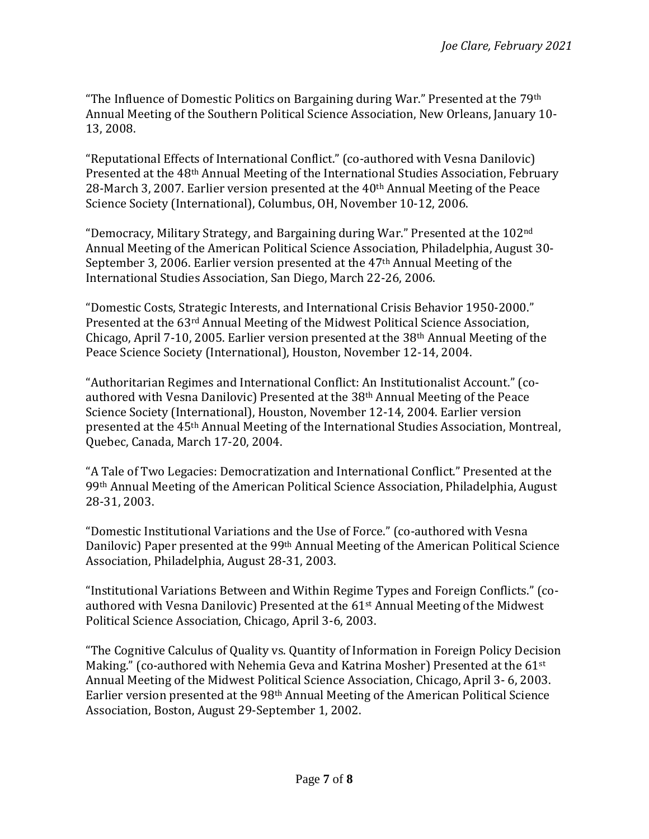"The Influence of Domestic Politics on Bargaining during War." Presented at the  $79<sup>th</sup>$ Annual Meeting of the Southern Political Science Association, New Orleans, January 10- 13, 2008.

"Reputational Effects of International Conflict." (co-authored with Vesna Danilovic) Presented at the 48th Annual Meeting of the International Studies Association, February 28-March 3, 2007. Earlier version presented at the 40<sup>th</sup> Annual Meeting of the Peace Science Society (International), Columbus, OH, November 10-12, 2006.

"Democracy, Military Strategy, and Bargaining during War." Presented at the 102<sup>nd</sup> Annual Meeting of the American Political Science Association, Philadelphia, August 30- September 3, 2006. Earlier version presented at the 47th Annual Meeting of the International Studies Association, San Diego, March 22-26, 2006.

"Domestic Costs, Strategic Interests, and International Crisis Behavior 1950-2000." Presented at the 63rd Annual Meeting of the Midwest Political Science Association, Chicago, April 7-10, 2005. Earlier version presented at the 38th Annual Meeting of the Peace Science Society (International), Houston, November 12-14, 2004.

"Authoritarian Regimes and International Conflict: An Institutionalist Account." (coauthored with Vesna Danilovic) Presented at the 38th Annual Meeting of the Peace Science Society (International), Houston, November 12-14, 2004. Earlier version presented at the 45th Annual Meeting of the International Studies Association, Montreal, Quebec, Canada, March 17-20, 2004.

"A Tale of Two Legacies: Democratization and International Conflict." Presented at the 99th Annual Meeting of the American Political Science Association, Philadelphia, August 28-31, 2003.

"Domestic Institutional Variations and the Use of Force." (co-authored with Vesna Danilovic) Paper presented at the 99th Annual Meeting of the American Political Science Association, Philadelphia, August 28-31, 2003.

"Institutional Variations Between and Within Regime Types and Foreign Conflicts." (coauthored with Vesna Danilovic) Presented at the 61st Annual Meeting of the Midwest Political Science Association, Chicago, April 3-6, 2003.

"The Cognitive Calculus of Quality vs. Quantity of Information in Foreign Policy Decision Making." (co-authored with Nehemia Geva and Katrina Mosher) Presented at the 61<sup>st</sup> Annual Meeting of the Midwest Political Science Association, Chicago, April 3- 6, 2003. Earlier version presented at the 98th Annual Meeting of the American Political Science Association, Boston, August 29-September 1, 2002.